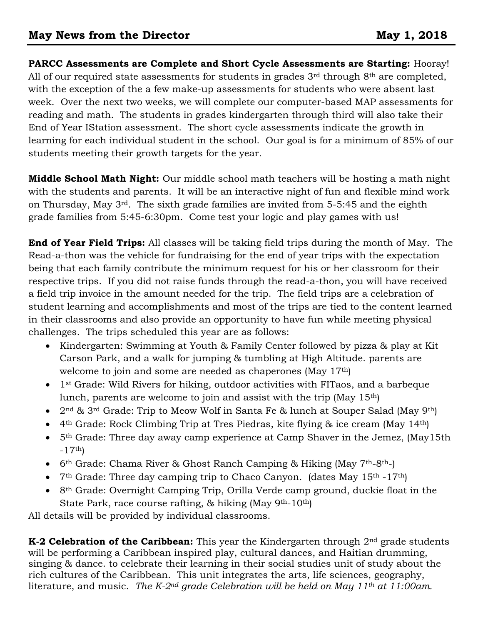**PARCC Assessments are Complete and Short Cycle Assessments are Starting:** Hooray! All of our required state assessments for students in grades 3<sup>rd</sup> through 8<sup>th</sup> are completed, with the exception of the a few make-up assessments for students who were absent last week. Over the next two weeks, we will complete our computer-based MAP assessments for reading and math. The students in grades kindergarten through third will also take their End of Year IStation assessment. The short cycle assessments indicate the growth in learning for each individual student in the school. Our goal is for a minimum of 85% of our students meeting their growth targets for the year.

**Middle School Math Night:** Our middle school math teachers will be hosting a math night with the students and parents. It will be an interactive night of fun and flexible mind work on Thursday, May 3rd. The sixth grade families are invited from 5-5:45 and the eighth grade families from 5:45-6:30pm. Come test your logic and play games with us!

**End of Year Field Trips:** All classes will be taking field trips during the month of May. The Read-a-thon was the vehicle for fundraising for the end of year trips with the expectation being that each family contribute the minimum request for his or her classroom for their respective trips. If you did not raise funds through the read-a-thon, you will have received a field trip invoice in the amount needed for the trip. The field trips are a celebration of student learning and accomplishments and most of the trips are tied to the content learned in their classrooms and also provide an opportunity to have fun while meeting physical challenges. The trips scheduled this year are as follows:

- Kindergarten: Swimming at Youth & Family Center followed by pizza & play at Kit Carson Park, and a walk for jumping & tumbling at High Altitude. parents are welcome to join and some are needed as chaperones (May 17th)
- 1<sup>st</sup> Grade: Wild Rivers for hiking, outdoor activities with FITaos, and a barbeque lunch, parents are welcome to join and assist with the trip (May 15th)
- $2<sup>nd</sup>$  & 3<sup>rd</sup> Grade: Trip to Meow Wolf in Santa Fe & lunch at Souper Salad (May 9<sup>th</sup>)
- 4th Grade: Rock Climbing Trip at Tres Piedras, kite flying & ice cream (May 14th)
- 5th Grade: Three day away camp experience at Camp Shaver in the Jemez, (May15th  $-17$ <sup>th</sup>)
- 6<sup>th</sup> Grade: Chama River & Ghost Ranch Camping & Hiking (May  $7<sup>th</sup>$ -8<sup>th</sup>-)
- $7<sup>th</sup>$  Grade: Three day camping trip to Chaco Canyon. (dates May 15<sup>th</sup> -17<sup>th</sup>)
- 8<sup>th</sup> Grade: Overnight Camping Trip, Orilla Verde camp ground, duckie float in the State Park, race course rafting, & hiking (May 9th-10th)

All details will be provided by individual classrooms.

**K-2 Celebration of the Caribbean:** This year the Kindergarten through 2<sup>nd</sup> grade students will be performing a Caribbean inspired play, cultural dances, and Haitian drumming, singing & dance. to celebrate their learning in their social studies unit of study about the rich cultures of the Caribbean. This unit integrates the arts, life sciences, geography, literature, and music. *The K-2nd grade Celebration will be held on May 11th at 11:00am.*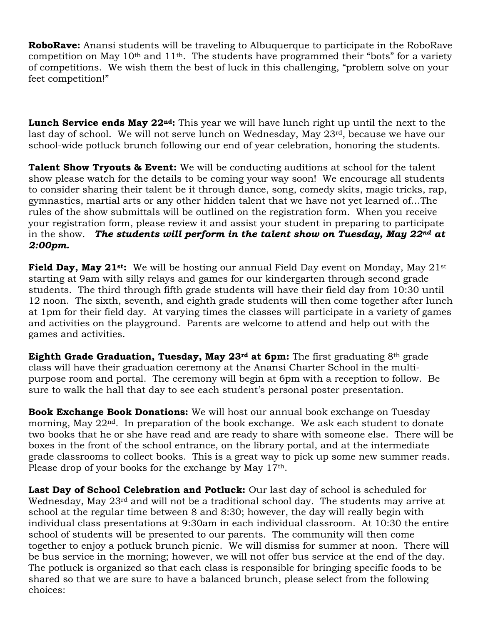**RoboRave:** Anansi students will be traveling to Albuquerque to participate in the RoboRave competition on May  $10<sup>th</sup>$  and  $11<sup>th</sup>$ . The students have programmed their "bots" for a variety of competitions. We wish them the best of luck in this challenging, "problem solve on your feet competition!"

**Lunch Service ends May 22nd:** This year we will have lunch right up until the next to the last day of school. We will not serve lunch on Wednesday, May 23rd, because we have our school-wide potluck brunch following our end of year celebration, honoring the students.

**Talent Show Tryouts & Event:** We will be conducting auditions at school for the talent show please watch for the details to be coming your way soon! We encourage all students to consider sharing their talent be it through dance, song, comedy skits, magic tricks, rap, gymnastics, martial arts or any other hidden talent that we have not yet learned of…The rules of the show submittals will be outlined on the registration form. When you receive your registration form, please review it and assist your student in preparing to participate in the show. *The students will perform in the talent show on Tuesday, May 22nd at 2:00pm.*

**Field Day, May 21st:** We will be hosting our annual Field Day event on Monday, May 21st starting at 9am with silly relays and games for our kindergarten through second grade students. The third through fifth grade students will have their field day from 10:30 until 12 noon. The sixth, seventh, and eighth grade students will then come together after lunch at 1pm for their field day. At varying times the classes will participate in a variety of games and activities on the playground. Parents are welcome to attend and help out with the games and activities.

**Eighth Grade Graduation, Tuesday, May 23rd at 6pm:** The first graduating 8th grade class will have their graduation ceremony at the Anansi Charter School in the multipurpose room and portal. The ceremony will begin at 6pm with a reception to follow. Be sure to walk the hall that day to see each student's personal poster presentation.

**Book Exchange Book Donations:** We will host our annual book exchange on Tuesday morning, May 22nd. In preparation of the book exchange. We ask each student to donate two books that he or she have read and are ready to share with someone else. There will be boxes in the front of the school entrance, on the library portal, and at the intermediate grade classrooms to collect books. This is a great way to pick up some new summer reads. Please drop of your books for the exchange by May 17<sup>th</sup>.

Last Day of School Celebration and Potluck: Our last day of school is scheduled for Wednesday, May 23<sup>rd</sup> and will not be a traditional school day. The students may arrive at school at the regular time between 8 and 8:30; however, the day will really begin with individual class presentations at 9:30am in each individual classroom. At 10:30 the entire school of students will be presented to our parents. The community will then come together to enjoy a potluck brunch picnic. We will dismiss for summer at noon. There will be bus service in the morning; however, we will not offer bus service at the end of the day. The potluck is organized so that each class is responsible for bringing specific foods to be shared so that we are sure to have a balanced brunch, please select from the following choices: